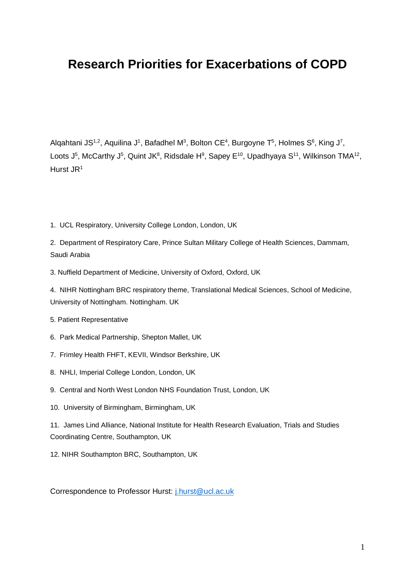# **Research Priorities for Exacerbations of COPD**

Alqahtani JS<sup>1,2</sup>, Aquilina J<sup>1</sup>, Bafadhel M<sup>3</sup>, Bolton CE<sup>4</sup>, Burgoyne T<sup>5</sup>, Holmes S<sup>6</sup>, King J<sup>7</sup>, Loots J<sup>5</sup>, McCarthy J<sup>5</sup>, Quint JK<sup>8</sup>, Ridsdale H<sup>9</sup>, Sapey E<sup>10</sup>, Upadhyaya S<sup>11</sup>, Wilkinson TMA<sup>12</sup>, Hurst JR<sup>1</sup>

1. UCL Respiratory, University College London, London, UK

2. Department of Respiratory Care, Prince Sultan Military College of Health Sciences, Dammam, Saudi Arabia

3. Nuffield Department of Medicine, University of Oxford, Oxford, UK

4. NIHR Nottingham BRC respiratory theme, Translational Medical Sciences, School of Medicine, University of Nottingham. Nottingham. UK

5. Patient Representative

- 6. Park Medical Partnership, Shepton Mallet, UK
- 7. Frimley Health FHFT, KEVII, Windsor Berkshire, UK
- 8. NHLI, Imperial College London, London, UK
- 9. Central and North West London NHS Foundation Trust, London, UK
- 10. University of Birmingham, Birmingham, UK

11. James Lind Alliance, National Institute for Health Research Evaluation, Trials and Studies Coordinating Centre, Southampton, UK

12. NIHR Southampton BRC, Southampton, UK

Correspondence to Professor Hurst: [j.hurst@ucl.ac.uk](mailto:j.hurst@ucl.ac.uk)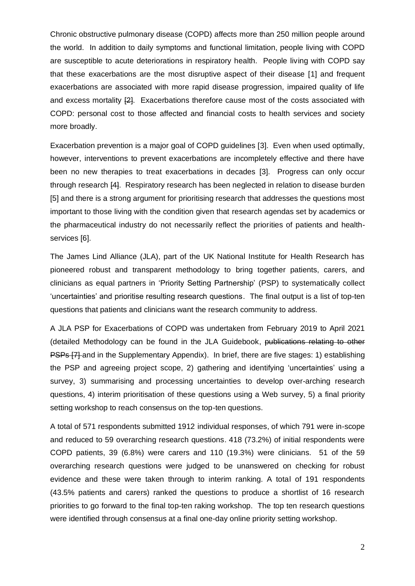Chronic obstructive pulmonary disease (COPD) affects more than 250 million people around the world. In addition to daily symptoms and functional limitation, people living with COPD are susceptible to acute deteriorations in respiratory health. People living with COPD say that these exacerbations are the most disruptive aspect of their disease [1] and frequent exacerbations are associated with more rapid disease progression, impaired quality of life and excess mortality [2]. Exacerbations therefore cause most of the costs associated with COPD: personal cost to those affected and financial costs to health services and society more broadly.

Exacerbation prevention is a major goal of COPD guidelines [3]. Even when used optimally, however, interventions to prevent exacerbations are incompletely effective and there have been no new therapies to treat exacerbations in decades [3]. Progress can only occur through research [4]. Respiratory research has been neglected in relation to disease burden [5] and there is a strong argument for prioritising research that addresses the questions most important to those living with the condition given that research agendas set by academics or the pharmaceutical industry do not necessarily reflect the priorities of patients and healthservices [6].

The James Lind Alliance (JLA), part of the UK National Institute for Health Research has pioneered robust and transparent methodology to bring together patients, carers, and clinicians as equal partners in 'Priority Setting Partnership' (PSP) to systematically collect 'uncertainties' and prioritise resulting research questions. The final output is a list of top-ten questions that patients and clinicians want the research community to address.

A JLA PSP for Exacerbations of COPD was undertaken from February 2019 to April 2021 (detailed Methodology can be found in the JLA Guidebook, publications relating to other PSPs [7] and in the Supplementary Appendix). In brief, there are five stages: 1) establishing the PSP and agreeing project scope, 2) gathering and identifying 'uncertainties' using a survey, 3) summarising and processing uncertainties to develop over-arching research questions, 4) interim prioritisation of these questions using a Web survey, 5) a final priority setting workshop to reach consensus on the top-ten questions.

A total of 571 respondents submitted 1912 individual responses, of which 791 were in-scope and reduced to 59 overarching research questions. 418 (73.2%) of initial respondents were COPD patients, 39 (6.8%) were carers and 110 (19.3%) were clinicians. 51 of the 59 overarching research questions were judged to be unanswered on checking for robust evidence and these were taken through to interim ranking. A total of 191 respondents (43.5% patients and carers) ranked the questions to produce a shortlist of 16 research priorities to go forward to the final top-ten raking workshop. The top ten research questions were identified through consensus at a final one-day online priority setting workshop.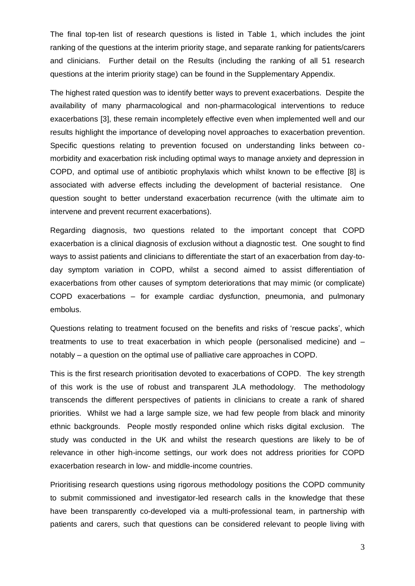The final top-ten list of research questions is listed in Table 1, which includes the joint ranking of the questions at the interim priority stage, and separate ranking for patients/carers and clinicians. Further detail on the Results (including the ranking of all 51 research questions at the interim priority stage) can be found in the Supplementary Appendix.

The highest rated question was to identify better ways to prevent exacerbations. Despite the availability of many pharmacological and non-pharmacological interventions to reduce exacerbations [3], these remain incompletely effective even when implemented well and our results highlight the importance of developing novel approaches to exacerbation prevention. Specific questions relating to prevention focused on understanding links between comorbidity and exacerbation risk including optimal ways to manage anxiety and depression in COPD, and optimal use of antibiotic prophylaxis which whilst known to be effective [8] is associated with adverse effects including the development of bacterial resistance. One question sought to better understand exacerbation recurrence (with the ultimate aim to intervene and prevent recurrent exacerbations).

Regarding diagnosis, two questions related to the important concept that COPD exacerbation is a clinical diagnosis of exclusion without a diagnostic test. One sought to find ways to assist patients and clinicians to differentiate the start of an exacerbation from day-today symptom variation in COPD, whilst a second aimed to assist differentiation of exacerbations from other causes of symptom deteriorations that may mimic (or complicate) COPD exacerbations – for example cardiac dysfunction, pneumonia, and pulmonary embolus.

Questions relating to treatment focused on the benefits and risks of 'rescue packs', which treatments to use to treat exacerbation in which people (personalised medicine) and – notably – a question on the optimal use of palliative care approaches in COPD.

This is the first research prioritisation devoted to exacerbations of COPD. The key strength of this work is the use of robust and transparent JLA methodology. The methodology transcends the different perspectives of patients in clinicians to create a rank of shared priorities. Whilst we had a large sample size, we had few people from black and minority ethnic backgrounds. People mostly responded online which risks digital exclusion. The study was conducted in the UK and whilst the research questions are likely to be of relevance in other high-income settings, our work does not address priorities for COPD exacerbation research in low- and middle-income countries.

Prioritising research questions using rigorous methodology positions the COPD community to submit commissioned and investigator-led research calls in the knowledge that these have been transparently co-developed via a multi-professional team, in partnership with patients and carers, such that questions can be considered relevant to people living with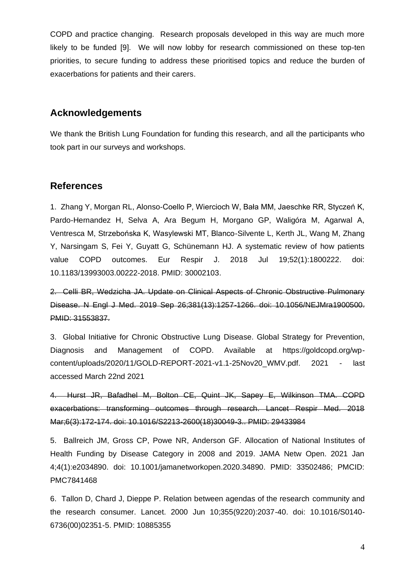COPD and practice changing. Research proposals developed in this way are much more likely to be funded [9]. We will now lobby for research commissioned on these top-ten priorities, to secure funding to address these prioritised topics and reduce the burden of exacerbations for patients and their carers.

#### **Acknowledgements**

We thank the British Lung Foundation for funding this research, and all the participants who took part in our surveys and workshops.

#### **References**

1. Zhang Y, Morgan RL, Alonso-Coello P, Wiercioch W, Bała MM, Jaeschke RR, Styczeń K, Pardo-Hernandez H, Selva A, Ara Begum H, Morgano GP, Waligóra M, Agarwal A, Ventresca M, Strzebońska K, Wasylewski MT, Blanco-Silvente L, Kerth JL, Wang M, Zhang Y, Narsingam S, Fei Y, Guyatt G, Schünemann HJ. A systematic review of how patients value COPD outcomes. Eur Respir J. 2018 Jul 19;52(1):1800222. doi: 10.1183/13993003.00222-2018. PMID: 30002103.

2. Celli BR, Wedzicha JA. Update on Clinical Aspects of Chronic Obstructive Pulmonary Disease. N Engl J Med. 2019 Sep 26;381(13):1257-1266. doi: 10.1056/NEJMra1900500. PMID: 31553837.

3. Global Initiative for Chronic Obstructive Lung Disease. Global Strategy for Prevention, Diagnosis and Management of COPD. Available at https://goldcopd.org/wpcontent/uploads/2020/11/GOLD-REPORT-2021-v1.1-25Nov20\_WMV.pdf. 2021 - last accessed March 22nd 2021

4. Hurst JR, Bafadhel M, Bolton CE, Quint JK, Sapey E, Wilkinson TMA. COPD exacerbations: transforming outcomes through research. Lancet Respir Med. 2018 Mar;6(3):172-174. doi: 10.1016/S2213-2600(18)30049-3.. PMID: 29433984

5. Ballreich JM, Gross CP, Powe NR, Anderson GF. Allocation of National Institutes of Health Funding by Disease Category in 2008 and 2019. JAMA Netw Open. 2021 Jan 4;4(1):e2034890. doi: 10.1001/jamanetworkopen.2020.34890. PMID: 33502486; PMCID: PMC7841468

6. Tallon D, Chard J, Dieppe P. Relation between agendas of the research community and the research consumer. Lancet. 2000 Jun 10;355(9220):2037-40. doi: 10.1016/S0140- 6736(00)02351-5. PMID: 10885355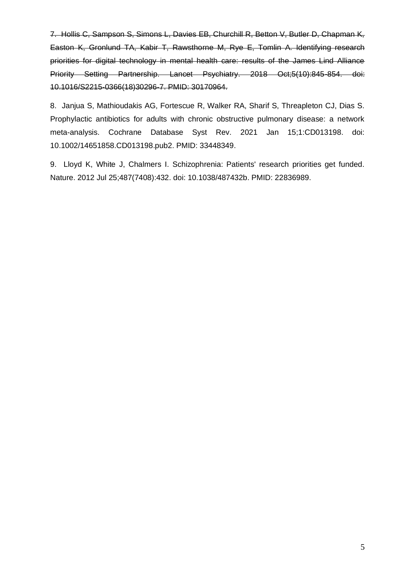7. Hollis C, Sampson S, Simons L, Davies EB, Churchill R, Betton V, Butler D, Chapman K, Easton K, Gronlund TA, Kabir T, Rawsthorne M, Rye E, Tomlin A. Identifying research priorities for digital technology in mental health care: results of the James Lind Alliance Priority Setting Partnership. Lancet Psychiatry. 2018 Oct;5(10):845-854. doi: 10.1016/S2215-0366(18)30296-7. PMID: 30170964.

8. Janjua S, Mathioudakis AG, Fortescue R, Walker RA, Sharif S, Threapleton CJ, Dias S. Prophylactic antibiotics for adults with chronic obstructive pulmonary disease: a network meta-analysis. Cochrane Database Syst Rev. 2021 Jan 15;1:CD013198. doi: 10.1002/14651858.CD013198.pub2. PMID: 33448349.

9. Lloyd K, White J, Chalmers I. Schizophrenia: Patients' research priorities get funded. Nature. 2012 Jul 25;487(7408):432. doi: 10.1038/487432b. PMID: 22836989.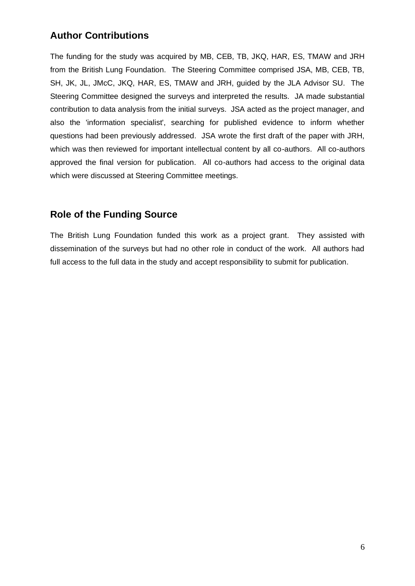## **Author Contributions**

The funding for the study was acquired by MB, CEB, TB, JKQ, HAR, ES, TMAW and JRH from the British Lung Foundation. The Steering Committee comprised JSA, MB, CEB, TB, SH, JK, JL, JMcC, JKQ, HAR, ES, TMAW and JRH, guided by the JLA Advisor SU. The Steering Committee designed the surveys and interpreted the results. JA made substantial contribution to data analysis from the initial surveys. JSA acted as the project manager, and also the 'information specialist', searching for published evidence to inform whether questions had been previously addressed. JSA wrote the first draft of the paper with JRH, which was then reviewed for important intellectual content by all co-authors. All co-authors approved the final version for publication. All co-authors had access to the original data which were discussed at Steering Committee meetings.

### **Role of the Funding Source**

The British Lung Foundation funded this work as a project grant. They assisted with dissemination of the surveys but had no other role in conduct of the work. All authors had full access to the full data in the study and accept responsibility to submit for publication.